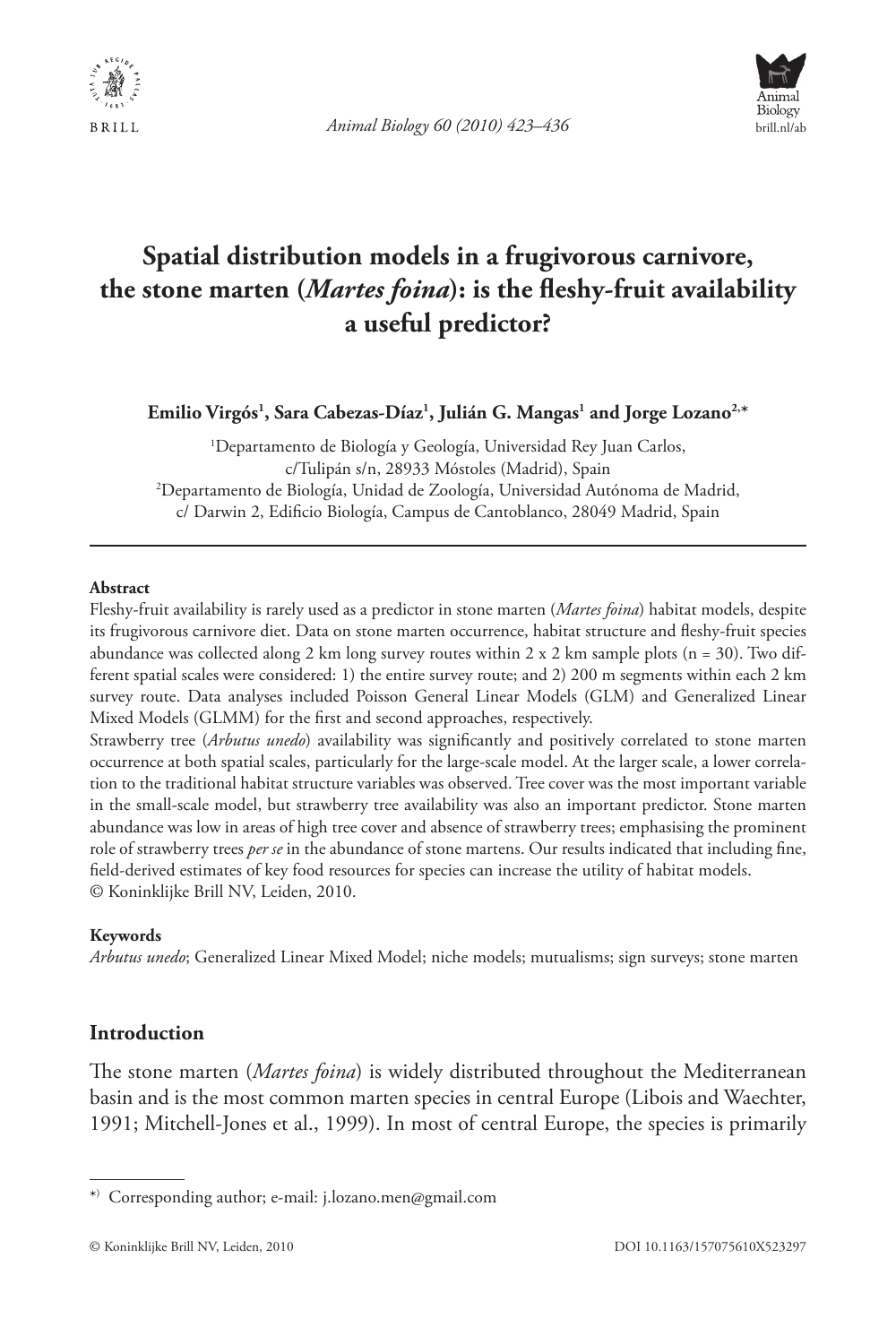

*Animal Biology 60 (2010) 423–436* brill.nl/ab



# **Spatial distribution models in a frugivorous carnivore,**  the stone marten (*Martes foina*): is the fleshy-fruit availability **a useful predictor?**

Emilio Virgós<sup>1</sup>, Sara Cabezas-Díaz<sup>1</sup>, Julián G. Mangas<sup>1</sup> and Jorge Lozano<sup>2,\*</sup>

1 Departamento de Biología y Geología, Universidad Rey Juan Carlos, c/Tulipán s/n, 28933 Móstoles (Madrid), Spain 2 Departamento de Biología, Unidad de Zoología, Universidad Autónoma de Madrid, c/ Darwin 2, Edificio Biología, Campus de Cantoblanco, 28049 Madrid, Spain

## **Abstract**

Fleshy-fruit availability is rarely used as a predictor in stone marten (Martes foina) habitat models, despite its frugivorous carnivore diet. Data on stone marten occurrence, habitat structure and fleshy-fruit species abundance was collected along 2 km long survey routes within 2 x 2 km sample plots (n = 30). Two different spatial scales were considered: 1) the entire survey route; and 2) 200 m segments within each 2 km survey route. Data analyses included Poisson General Linear Models (GLM) and Generalized Linear Mixed Models (GLMM) for the first and second approaches, respectively.

Strawberry tree (*Arbutus unedo*) availability was significantly and positively correlated to stone marten occurrence at both spatial scales, particularly for the large-scale model. At the larger scale, a lower correlation to the traditional habitat structure variables was observed. Tree cover was the most important variable in the small-scale model, but strawberry tree availability was also an important predictor. Stone marten abundance was low in areas of high tree cover and absence of strawberry trees; emphasising the prominent role of strawberry trees *per se* in the abundance of stone martens. Our results indicated that including fine, field-derived estimates of key food resources for species can increase the utility of habitat models. © Koninklijke Brill NV, Leiden, 2010.

#### **Keywords**

Arbutus unedo; Generalized Linear Mixed Model; niche models; mutualisms; sign surveys; stone marten

## **Introduction**

The stone marten (*Martes foina*) is widely distributed throughout the Mediterranean basin and is the most common marten species in central Europe (Libois and Waechter, 1991; Mitchell-Jones et al., 1999). In most of central Europe, the species is primarily

<sup>\*)</sup> Corresponding author; e-mail: j.lozano.men@gmail.com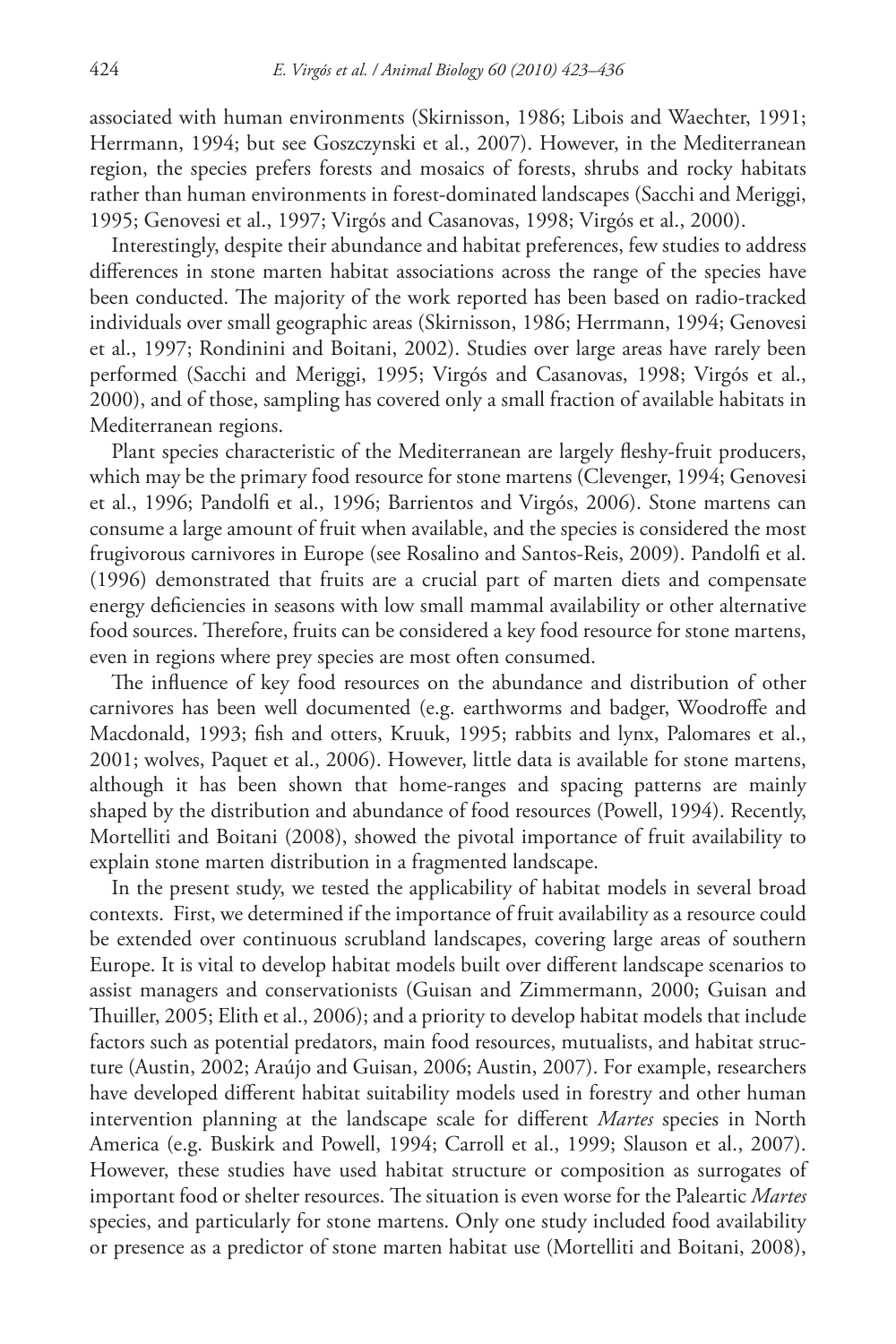associated with human environments (Skirnisson, 1986; Libois and Waechter, 1991; Herrmann, 1994; but see Goszczynski et al., 2007). However, in the Mediterranean region, the species prefers forests and mosaics of forests, shrubs and rocky habitats rather than human environments in forest-dominated landscapes (Sacchi and Meriggi, 1995; Genovesi et al., 1997; Virgós and Casanovas, 1998; Virgós et al., 2000).

 Interestingly, despite their abundance and habitat preferences, few studies to address differences in stone marten habitat associations across the range of the species have been conducted. The majority of the work reported has been based on radio-tracked individuals over small geographic areas (Skirnisson, 1986; Herrmann, 1994; Genovesi et al., 1997; Rondinini and Boitani, 2002). Studies over large areas have rarely been performed (Sacchi and Meriggi, 1995; Virgós and Casanovas, 1998; Virgós et al., 2000), and of those, sampling has covered only a small fraction of available habitats in Mediterranean regions.

Plant species characteristic of the Mediterranean are largely fleshy-fruit producers, which may be the primary food resource for stone martens (Clevenger, 1994; Genovesi et al., 1996; Pandolfi et al., 1996; Barrientos and Virgós, 2006). Stone martens can consume a large amount of fruit when available, and the species is considered the most frugivorous carnivores in Europe (see Rosalino and Santos-Reis, 2009 ). Pandolfi et al. (1996) demonstrated that fruits are a crucial part of marten diets and compensate energy deficiencies in seasons with low small mammal availability or other alternative food sources. Therefore, fruits can be considered a key food resource for stone martens, even in regions where prey species are most often consumed.

The influence of key food resources on the abundance and distribution of other carnivores has been well documented (e.g. earthworms and badger, Woodroffe and Macdonald, 1993; fish and otters, Kruuk, 1995; rabbits and lynx, Palomares et al., 2001; wolves, Paquet et al., 2006). However, little data is available for stone martens, although it has been shown that home-ranges and spacing patterns are mainly shaped by the distribution and abundance of food resources (Powell, 1994). Recently, Mortelliti and Boitani (2008), showed the pivotal importance of fruit availability to explain stone marten distribution in a fragmented landscape.

 In the present study, we tested the applicability of habitat models in several broad contexts. First, we determined if the importance of fruit availability as a resource could be extended over continuous scrubland landscapes, covering large areas of southern Europe. It is vital to develop habitat models built over different landscape scenarios to assist managers and conservationists (Guisan and Zimmermann, 2000; Guisan and Thuiller, 2005; Elith et al., 2006); and a priority to develop habitat models that include factors such as potential predators, main food resources, mutualists, and habitat structure (Austin, 2002; Araújo and Guisan, 2006; Austin, 2007). For example, researchers have developed different habitat suitability models used in forestry and other human intervention planning at the landscape scale for different *Martes* species in North America (e.g. Buskirk and Powell, 1994; Carroll et al., 1999; Slauson et al., 2007). However, these studies have used habitat structure or composition as surrogates of important food or shelter resources. The situation is even worse for the Paleartic Martes species, and particularly for stone martens. Only one study included food availability or presence as a predictor of stone marten habitat use (Mortelliti and Boitani, 2008),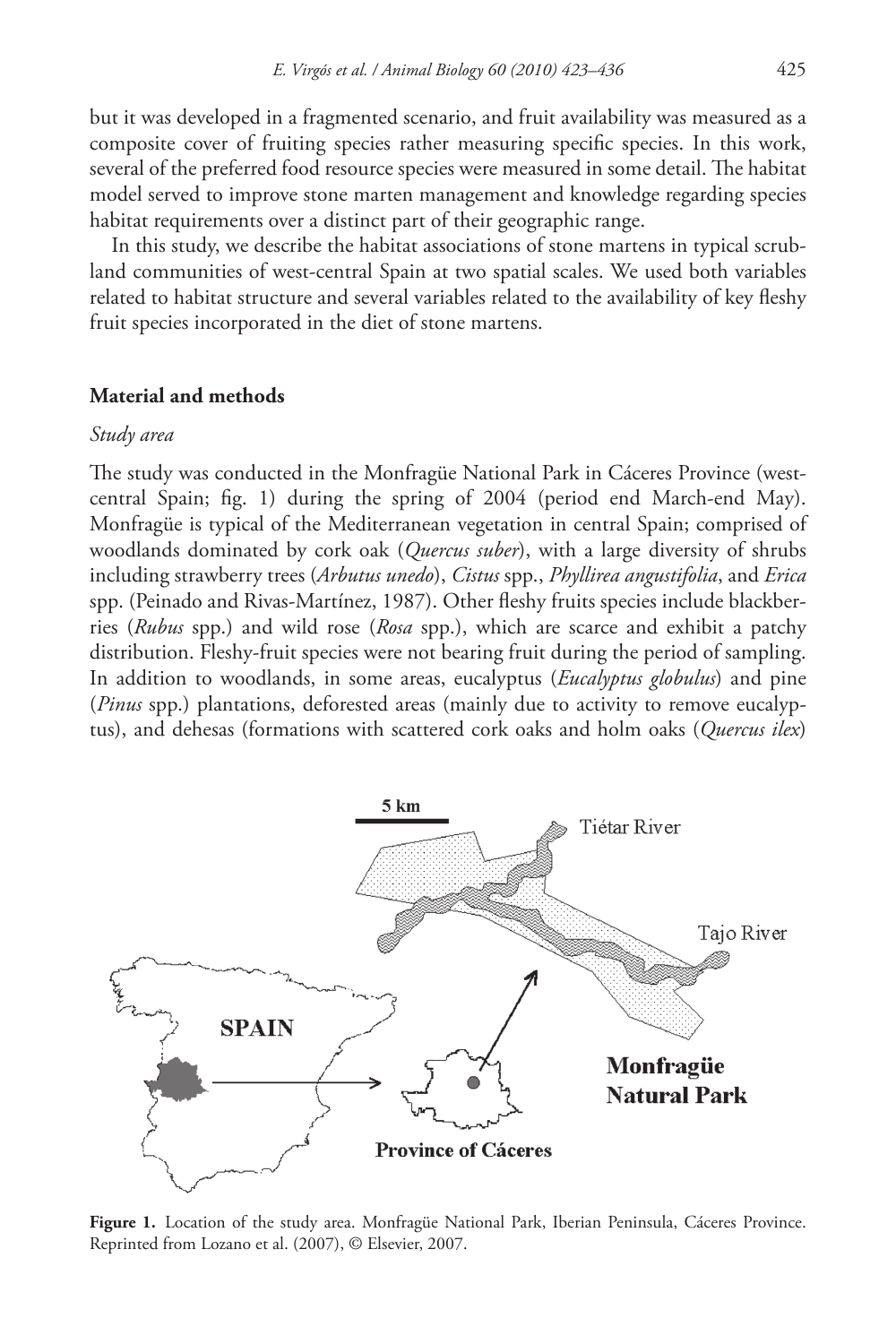but it was developed in a fragmented scenario, and fruit availability was measured as a composite cover of fruiting species rather measuring specific species. In this work, several of the preferred food resource species were measured in some detail. The habitat model served to improve stone marten management and knowledge regarding species habitat requirements over a distinct part of their geographic range.

 In this study, we describe the habitat associations of stone martens in typical scrubland communities of west-central Spain at two spatial scales. We used both variables related to habitat structure and several variables related to the availability of key fleshy fruit species incorporated in the diet of stone martens.

## **Material and methods**

#### *Study area*

The study was conducted in the Monfragüe National Park in Cáceres Province (westcentral Spain; fig. 1) during the spring of 2004 (period end March-end May). Monfragüe is typical of the Mediterranean vegetation in central Spain; comprised of woodlands dominated by cork oak (*Quercus suber*), with a large diversity of shrubs including strawberry trees ( *Arbutus unedo* ), *Cistus* spp., *Phyllirea angustifolia* , and *Erica* spp. (Peinado and Rivas-Martínez, 1987). Other fleshy fruits species include blackberries ( *Rubus* spp.) and wild rose ( *Rosa* spp.), which are scarce and exhibit a patchy distribution. Fleshy-fruit species were not bearing fruit during the period of sampling. In addition to woodlands, in some areas, eucalyptus (*Eucalyptus globulus*) and pine (*Pinus* spp.) plantations, deforested areas (mainly due to activity to remove eucalyptus), and dehesas (formations with scattered cork oaks and holm oaks (*Quercus ilex*)



 **Figure 1.** Location of the study area. Monfragüe National Park, Iberian Peninsula, Cáceres Province. Reprinted from Lozano et al. (2007), © Elsevier, 2007.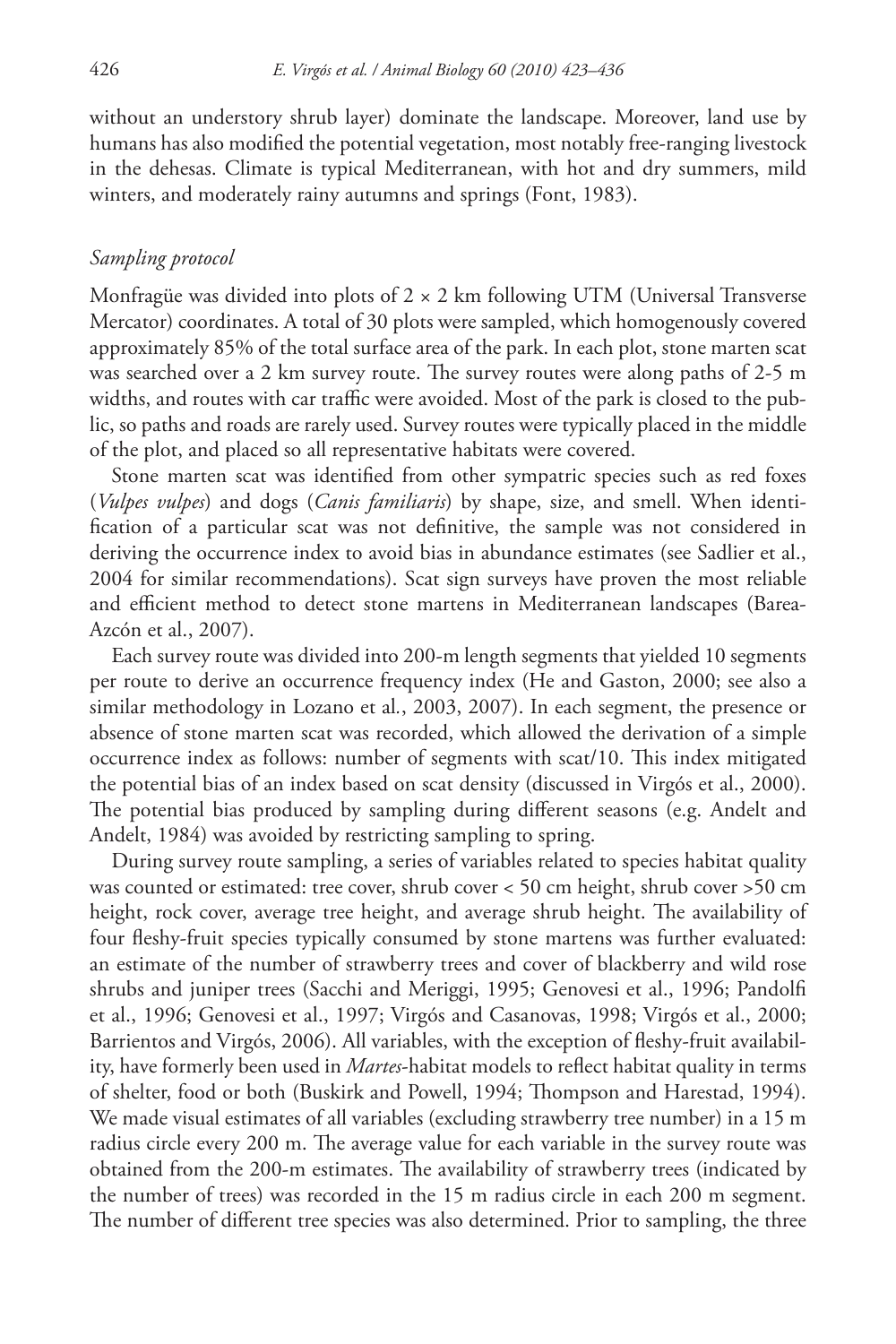without an understory shrub layer) dominate the landscape. Moreover, land use by humans has also modified the potential vegetation, most notably free-ranging livestock in the dehesas. Climate is typical Mediterranean, with hot and dry summers, mild winters, and moderately rainy autumns and springs (Font, 1983).

#### *Sampling protocol*

Monfragüe was divided into plots of  $2 \times 2$  km following UTM (Universal Transverse Mercator) coordinates. A total of 30 plots were sampled, which homogenously covered approximately 85% of the total surface area of the park. In each plot, stone marten scat was searched over a 2 km survey route. The survey routes were along paths of  $2-5$  m widths, and routes with car traffic were avoided. Most of the park is closed to the public, so paths and roads are rarely used. Survey routes were typically placed in the middle of the plot, and placed so all representative habitats were covered.

Stone marten scat was identified from other sympatric species such as red foxes ( *Vulpes vulpes* ) and dogs ( *Canis familiaris* ) by shape, size, and smell. When identification of a particular scat was not definitive, the sample was not considered in deriving the occurrence index to avoid bias in abundance estimates (see Sadlier et al., 2004 for similar recommendations). Scat sign surveys have proven the most reliable and efficient method to detect stone martens in Mediterranean landscapes (Barea-Azcón et al., 2007).

 Each survey route was divided into 200-m length segments that yielded 10 segments per route to derive an occurrence frequency index (He and Gaston, 2000; see also a similar methodology in Lozano et al., 2003, 2007). In each segment, the presence or absence of stone marten scat was recorded, which allowed the derivation of a simple occurrence index as follows: number of segments with scat/10. This index mitigated the potential bias of an index based on scat density (discussed in Virgós et al., 2000). The potential bias produced by sampling during different seasons (e.g. Andelt and Andelt, 1984) was avoided by restricting sampling to spring.

 During survey route sampling, a series of variables related to species habitat quality was counted or estimated: tree cover, shrub cover < 50 cm height, shrub cover >50 cm height, rock cover, average tree height, and average shrub height. The availability of four fleshy-fruit species typically consumed by stone martens was further evaluated: an estimate of the number of strawberry trees and cover of blackberry and wild rose shrubs and juniper trees (Sacchi and Meriggi, 1995; Genovesi et al., 1996; Pandolfi et al., 1996; Genovesi et al., 1997; Virgós and Casanovas, 1998; Virgós et al., 2000; Barrientos and Virgós, 2006). All variables, with the exception of fleshy-fruit availability, have formerly been used in *Martes*-habitat models to reflect habitat quality in terms of shelter, food or both (Buskirk and Powell, 1994; Thompson and Harestad, 1994). We made visual estimates of all variables (excluding strawberry tree number) in a 15 m radius circle every 200 m. The average value for each variable in the survey route was obtained from the 200-m estimates. The availability of strawberry trees (indicated by the number of trees) was recorded in the 15 m radius circle in each 200 m segment. The number of different tree species was also determined. Prior to sampling, the three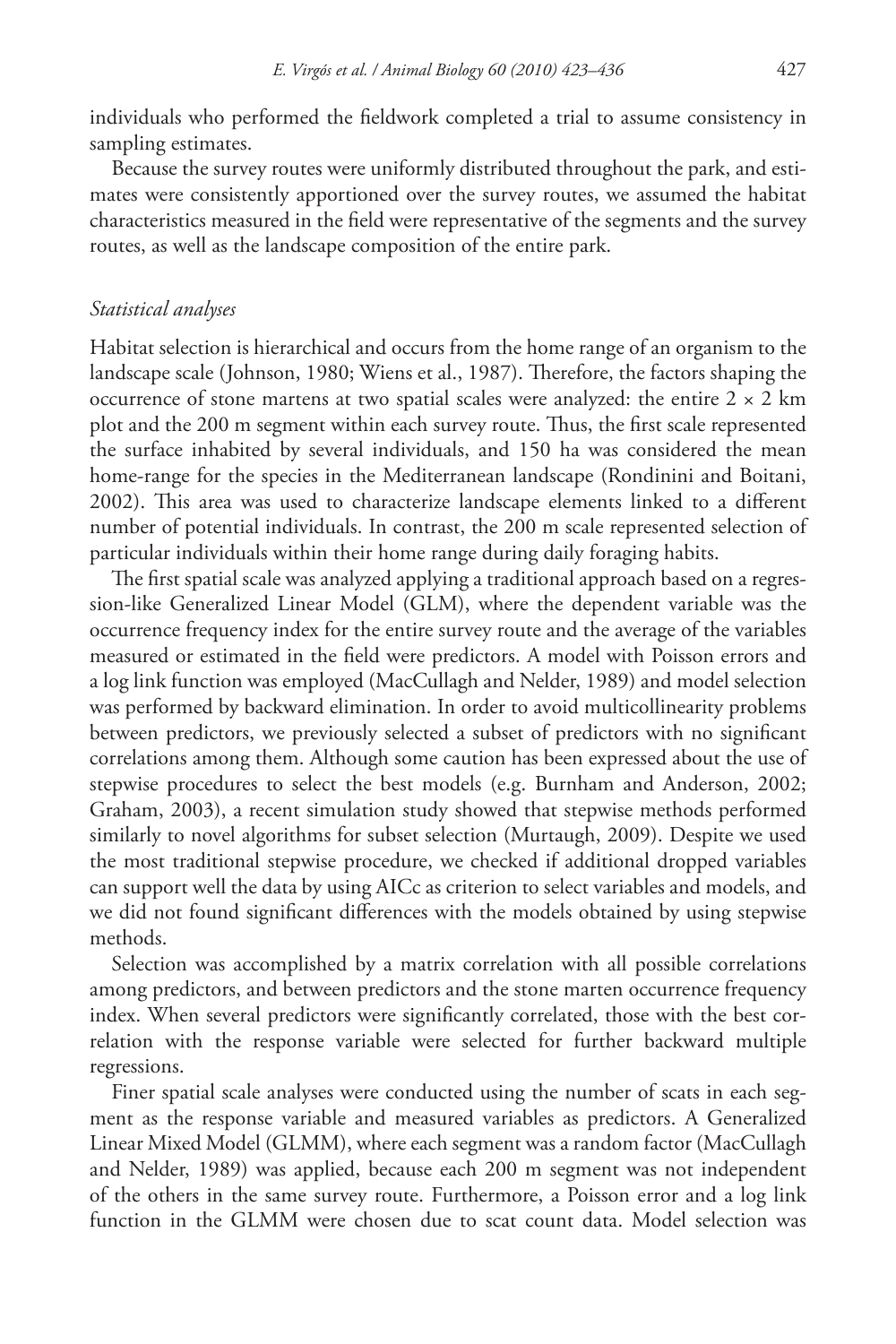individuals who performed the fieldwork completed a trial to assume consistency in sampling estimates.

 Because the survey routes were uniformly distributed throughout the park, and estimates were consistently apportioned over the survey routes, we assumed the habitat characteristics measured in the field were representative of the segments and the survey routes, as well as the landscape composition of the entire park.

#### *Statistical analyses*

 Habitat selection is hierarchical and occurs from the home range of an organism to the landscape scale (Johnson, 1980; Wiens et al., 1987). Therefore, the factors shaping the occurrence of stone martens at two spatial scales were analyzed: the entire  $2 \times 2$  km plot and the 200 m segment within each survey route. Thus, the first scale represented the surface inhabited by several individuals, and 150 ha was considered the mean home-range for the species in the Mediterranean landscape (Rondinini and Boitani, 2002). This area was used to characterize landscape elements linked to a different number of potential individuals. In contrast, the 200 m scale represented selection of particular individuals within their home range during daily foraging habits.

The first spatial scale was analyzed applying a traditional approach based on a regression-like Generalized Linear Model (GLM), where the dependent variable was the occurrence frequency index for the entire survey route and the average of the variables measured or estimated in the field were predictors. A model with Poisson errors and a log link function was employed (MacCullagh and Nelder, 1989) and model selection was performed by backward elimination. In order to avoid multicollinearity problems between predictors, we previously selected a subset of predictors with no significant correlations among them. Although some caution has been expressed about the use of stepwise procedures to select the best models (e.g. Burnham and Anderson, 2002; Graham, 2003), a recent simulation study showed that stepwise methods performed similarly to novel algorithms for subset selection (Murtaugh, 2009). Despite we used the most traditional stepwise procedure, we checked if additional dropped variables can support well the data by using AICc as criterion to select variables and models, and we did not found significant differences with the models obtained by using stepwise methods.

 Selection was accomplished by a matrix correlation with all possible correlations among predictors, and between predictors and the stone marten occurrence frequency index. When several predictors were significantly correlated, those with the best correlation with the response variable were selected for further backward multiple regressions.

 Finer spatial scale analyses were conducted using the number of scats in each segment as the response variable and measured variables as predictors. A Generalized Linear Mixed Model (GLMM), where each segment was a random factor (MacCullagh and Nelder, 1989) was applied, because each 200 m segment was not independent of the others in the same survey route. Furthermore, a Poisson error and a log link function in the GLMM were chosen due to scat count data. Model selection was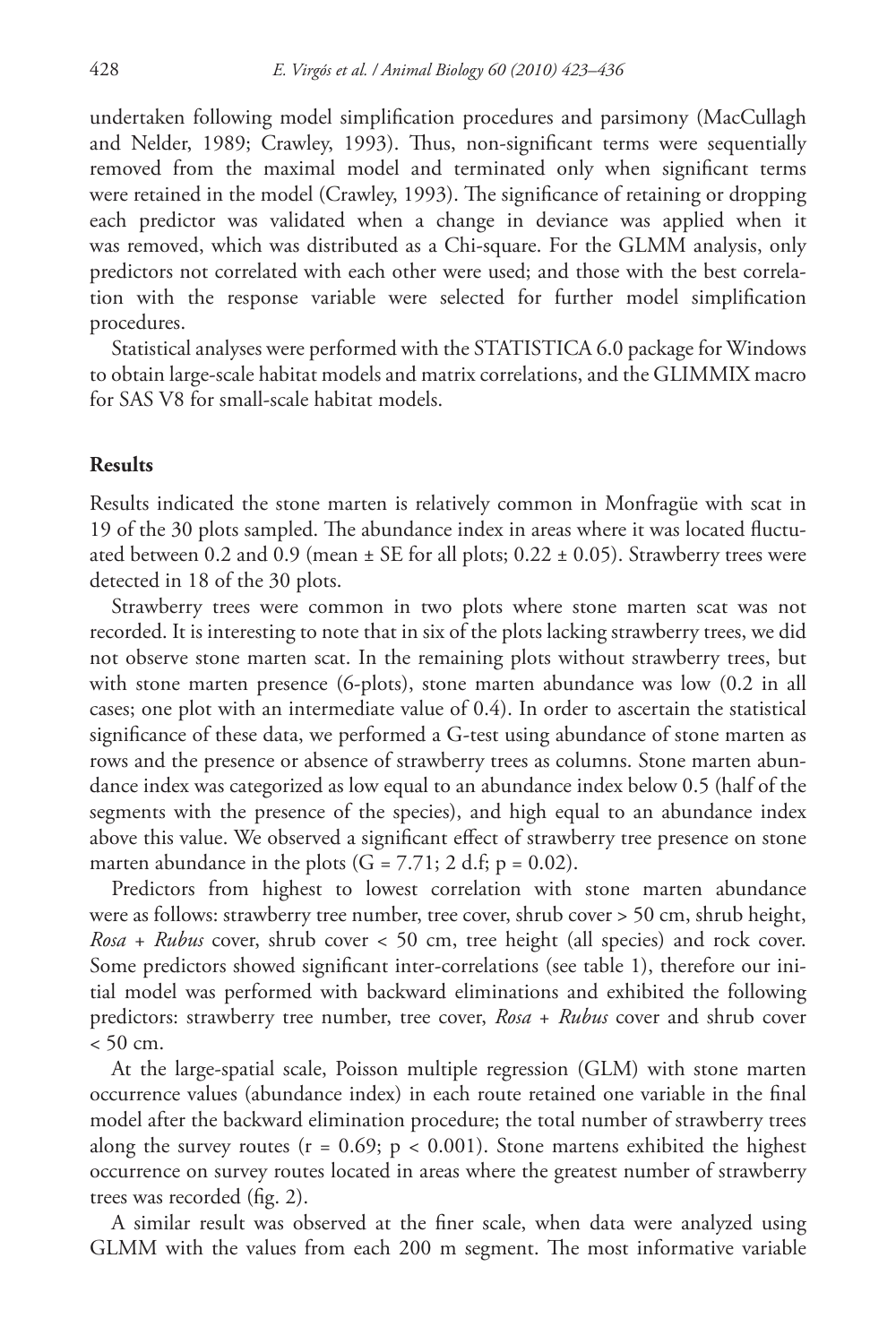undertaken following model simplification procedures and parsimony (MacCullagh and Nelder, 1989; Crawley, 1993). Thus, non-significant terms were sequentially removed from the maximal model and terminated only when significant terms were retained in the model (Crawley, 1993). The significance of retaining or dropping each predictor was validated when a change in deviance was applied when it was removed, which was distributed as a Chi-square. For the GLMM analysis, only predictors not correlated with each other were used; and those with the best correlation with the response variable were selected for further model simplification procedures.

 Statistical analyses were performed with the STATISTICA 6.0 package for Windows to obtain large-scale habitat models and matrix correlations, and the GLIMMIX macro for SAS V8 for small-scale habitat models.

#### **Results**

 Results indicated the stone marten is relatively common in Monfragüe with scat in 19 of the 30 plots sampled. The abundance index in areas where it was located fluctuated between 0.2 and 0.9 (mean  $\pm$  SE for all plots; 0.22  $\pm$  0.05). Strawberry trees were detected in 18 of the 30 plots.

 Strawberry trees were common in two plots where stone marten scat was not recorded. It is interesting to note that in six of the plots lacking strawberry trees, we did not observe stone marten scat. In the remaining plots without strawberry trees, but with stone marten presence (6-plots), stone marten abundance was low (0.2 in all cases; one plot with an intermediate value of 0.4). In order to ascertain the statistical significance of these data, we performed a G-test using abundance of stone marten as rows and the presence or absence of strawberry trees as columns. Stone marten abundance index was categorized as low equal to an abundance index below 0.5 (half of the segments with the presence of the species), and high equal to an abundance index above this value. We observed a significant effect of strawberry tree presence on stone marten abundance in the plots  $(G = 7.71; 2 d.f; p = 0.02)$ .

 Predictors from highest to lowest correlation with stone marten abundance were as follows: strawberry tree number, tree cover, shrub cover > 50 cm, shrub height, *Rosa* + *Rubus* cover, shrub cover < 50 cm, tree height (all species) and rock cover. Some predictors showed significant inter-correlations (see table 1), therefore our initial model was performed with backward eliminations and exhibited the following predictors: strawberry tree number, tree cover, *Rosa* + *Rubus* cover and shrub cover  $< 50$  cm.

 At the large-spatial scale, Poisson multiple regression (GLM) with stone marten occurrence values (abundance index) in each route retained one variable in the final model after the backward elimination procedure; the total number of strawberry trees along the survey routes ( $r = 0.69$ ;  $p < 0.001$ ). Stone martens exhibited the highest occurrence on survey routes located in areas where the greatest number of strawberry trees was recorded (fig. 2).

A similar result was observed at the finer scale, when data were analyzed using GLMM with the values from each 200 m segment. The most informative variable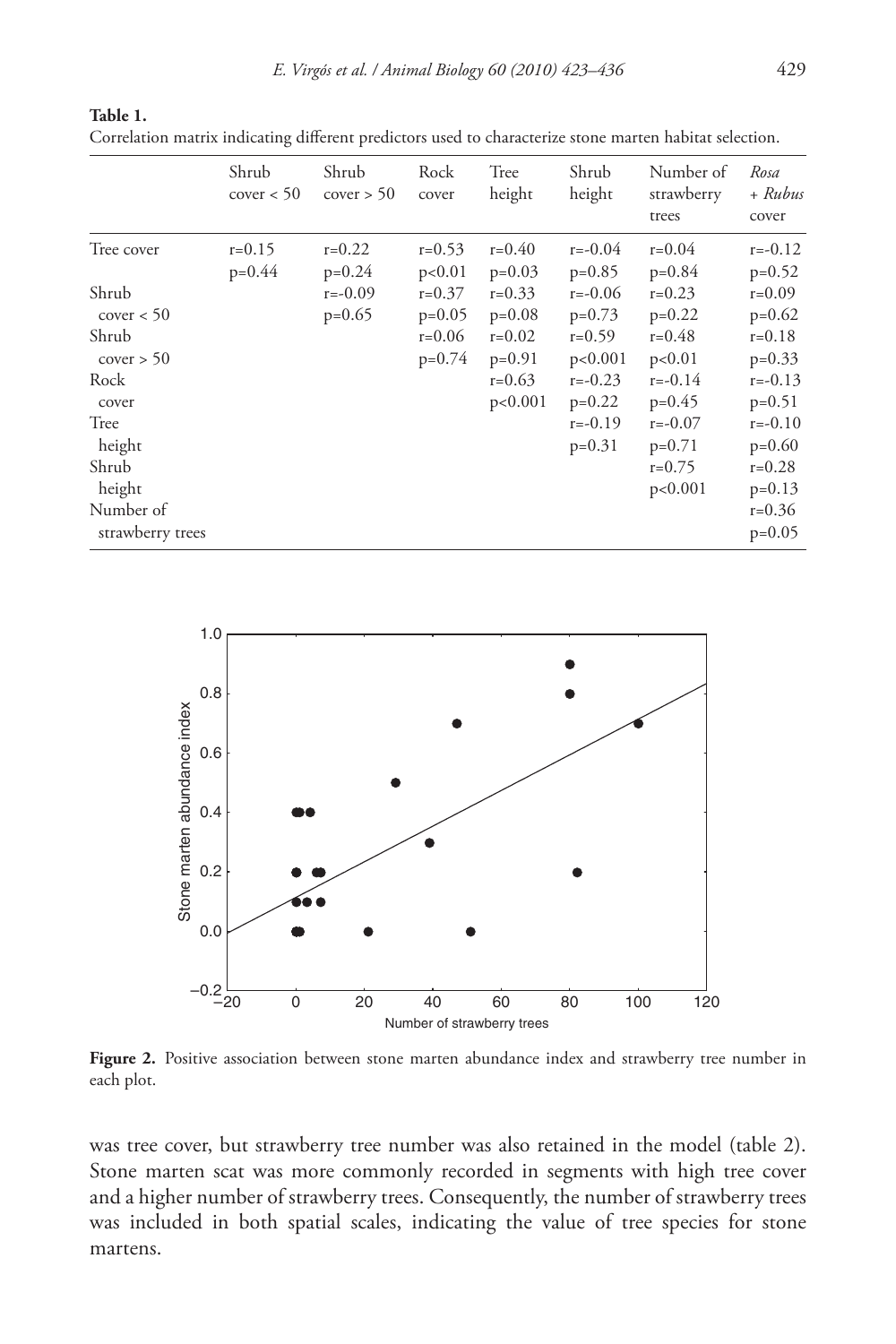|                                                                    | Shrub<br>cover < 50  | Shrub<br>cover > 50   | Rock<br>cover                                | Tree<br>height                               | Shrub<br>height                              | Number of<br>strawberry<br>trees             | Rosa<br>+ Rubus<br>cover                                              |
|--------------------------------------------------------------------|----------------------|-----------------------|----------------------------------------------|----------------------------------------------|----------------------------------------------|----------------------------------------------|-----------------------------------------------------------------------|
| Tree cover                                                         | $r=0.15$<br>$p=0.44$ | $r=0.22$<br>$p=0.24$  | $r=0.53$<br>p<0.01                           | $r=0.40$<br>$p=0.03$                         | $r=-0.04$<br>$p=0.85$                        | $r = 0.04$<br>$p=0.84$                       | $r=-0.12$<br>$p=0.52$                                                 |
| Shrub<br>cover < 50<br>Shrub<br>cover > 50                         |                      | $r=-0.09$<br>$p=0.65$ | $r=0.37$<br>$p=0.05$<br>$r=0.06$<br>$p=0.74$ | $r=0.33$<br>$p=0.08$<br>$r=0.02$<br>$p=0.91$ | $r=-0.06$<br>$p=0.73$<br>$r=0.59$<br>p<0.001 | $r=0.23$<br>$p=0.22$<br>$r = 0.48$<br>p<0.01 | $r=0.09$<br>$p=0.62$<br>$r = 0.18$<br>$p=0.33$                        |
| Rock<br>cover                                                      |                      |                       |                                              | $r=0.63$<br>p<0.001                          | $r=-0.23$<br>$p=0.22$                        | $r=-0.14$<br>$p=0.45$                        | $r=-0.13$<br>$p=0.51$                                                 |
| Tree<br>height<br>Shrub<br>height<br>Number of<br>strawberry trees |                      |                       |                                              |                                              | $r=-0.19$<br>$p=0.31$                        | $r=-0.07$<br>$p=0.71$<br>$r=0.75$<br>p<0.001 | $r=-0.10$<br>$p=0.60$<br>$r=0.28$<br>$p=0.13$<br>$r=0.36$<br>$p=0.05$ |

**Table 1.** 

Correlation matrix indicating different predictors used to characterize stone marten habitat selection.



Figure 2. Positive association between stone marten abundance index and strawberry tree number in each plot.

was tree cover, but strawberry tree number was also retained in the model (table 2). Stone marten scat was more commonly recorded in segments with high tree cover and a higher number of strawberry trees. Consequently, the number of strawberry trees was included in both spatial scales, indicating the value of tree species for stone martens.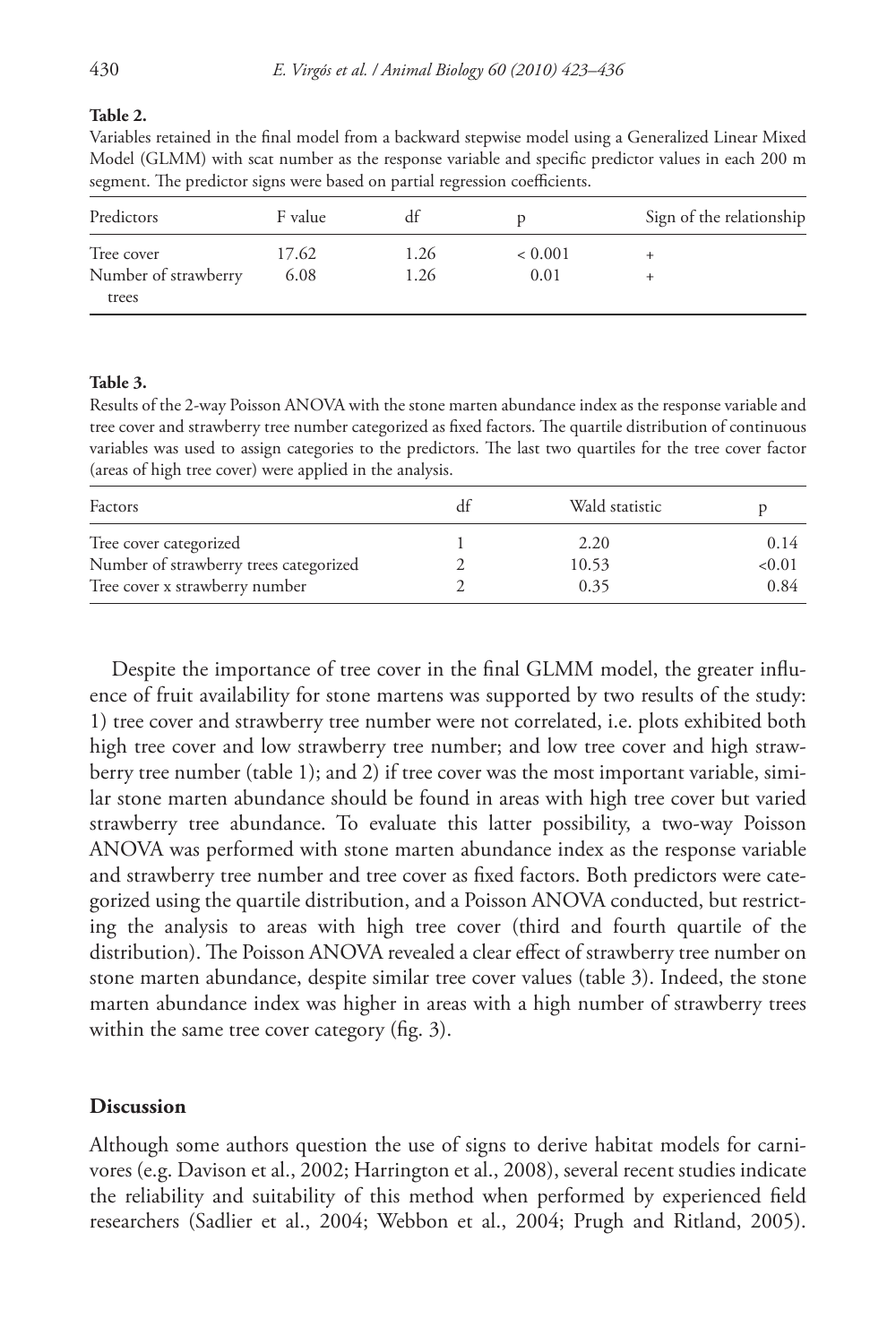#### **Table 2.**

Variables retained in the final model from a backward stepwise model using a Generalized Linear Mixed Model (GLMM) with scat number as the response variable and specific predictor values in each 200 m segment. The predictor signs were based on partial regression coefficients.

| Predictors           | F value | df   |                | Sign of the relationship |
|----------------------|---------|------|----------------|--------------------------|
| Tree cover           | 17.62   | 1.26 | ${}_{<} 0.001$ |                          |
| Number of strawberry | 6.08    | 1.26 | 0.01           |                          |
| trees                |         |      |                |                          |

#### **Table 3.**

 Results of the 2-way Poisson ANOVA with the stone marten abundance index as the response variable and tree cover and strawberry tree number categorized as fixed factors. The quartile distribution of continuous variables was used to assign categories to the predictors. The last two quartiles for the tree cover factor (areas of high tree cover) were applied in the analysis.

| Factors                                | Wald statistic |        |
|----------------------------------------|----------------|--------|
| Tree cover categorized                 | 2.20           | 0.14   |
| Number of strawberry trees categorized | 10.53          | < 0.01 |
| Tree cover x strawberry number         | 0.35           | 0.84   |

Despite the importance of tree cover in the final GLMM model, the greater influence of fruit availability for stone martens was supported by two results of the study: 1) tree cover and strawberry tree number were not correlated, i.e. plots exhibited both high tree cover and low strawberry tree number; and low tree cover and high strawberry tree number (table 1); and 2) if tree cover was the most important variable, similar stone marten abundance should be found in areas with high tree cover but varied strawberry tree abundance. To evaluate this latter possibility, a two-way Poisson ANOVA was performed with stone marten abundance index as the response variable and strawberry tree number and tree cover as fixed factors. Both predictors were categorized using the quartile distribution, and a Poisson ANOVA conducted, but restricting the analysis to areas with high tree cover (third and fourth quartile of the distribution). The Poisson ANOVA revealed a clear effect of strawberry tree number on stone marten abundance, despite similar tree cover values (table 3). Indeed, the stone marten abundance index was higher in areas with a high number of strawberry trees within the same tree cover category ( $fig. 3$ ).

#### **Discussion**

 Although some authors question the use of signs to derive habitat models for carnivores (e.g. Davison et al., 2002; Harrington et al., 2008), several recent studies indicate the reliability and suitability of this method when performed by experienced field researchers (Sadlier et al., 2004; Webbon et al., 2004; Prugh and Ritland, 2005).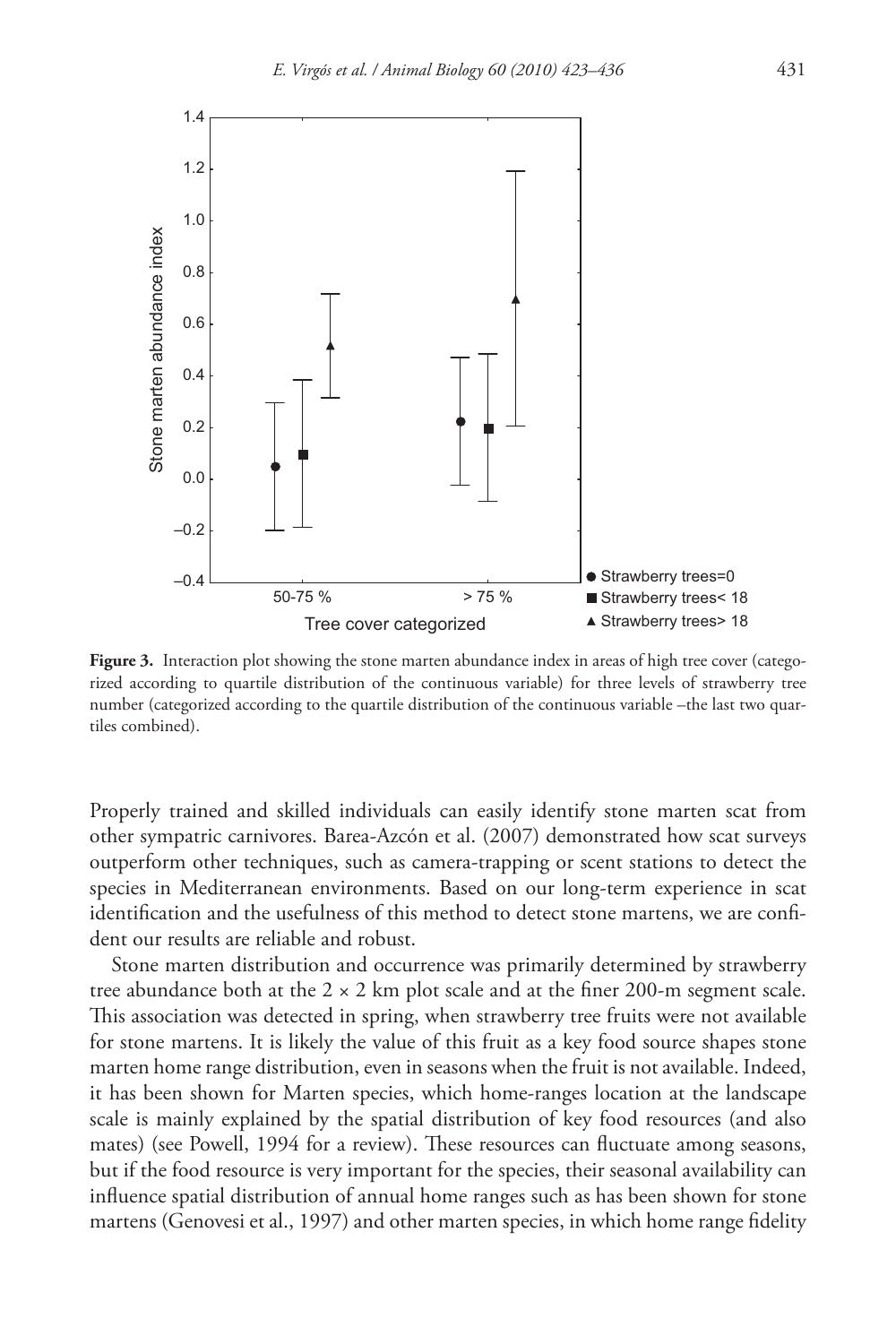

Figure 3. Interaction plot showing the stone marten abundance index in areas of high tree cover (categorized according to quartile distribution of the continuous variable) for three levels of strawberry tree number (categorized according to the quartile distribution of the continuous variable –the last two quartiles combined).

Properly trained and skilled individuals can easily identify stone marten scat from other sympatric carnivores. Barea-Azcón et al. ( 2007 ) demonstrated how scat surveys outperform other techniques, such as camera-trapping or scent stations to detect the species in Mediterranean environments. Based on our long-term experience in scat identification and the usefulness of this method to detect stone martens, we are confident our results are reliable and robust.

 Stone marten distribution and occurrence was primarily determined by strawberry tree abundance both at the  $2 \times 2$  km plot scale and at the finer 200-m segment scale. This association was detected in spring, when strawberry tree fruits were not available for stone martens. It is likely the value of this fruit as a key food source shapes stone marten home range distribution, even in seasons when the fruit is not available. Indeed, it has been shown for Marten species, which home-ranges location at the landscape scale is mainly explained by the spatial distribution of key food resources (and also mates) (see Powell, 1994 for a review). These resources can fluctuate among seasons, but if the food resource is very important for the species, their seasonal availability can influence spatial distribution of annual home ranges such as has been shown for stone martens (Genovesi et al., 1997) and other marten species, in which home range fidelity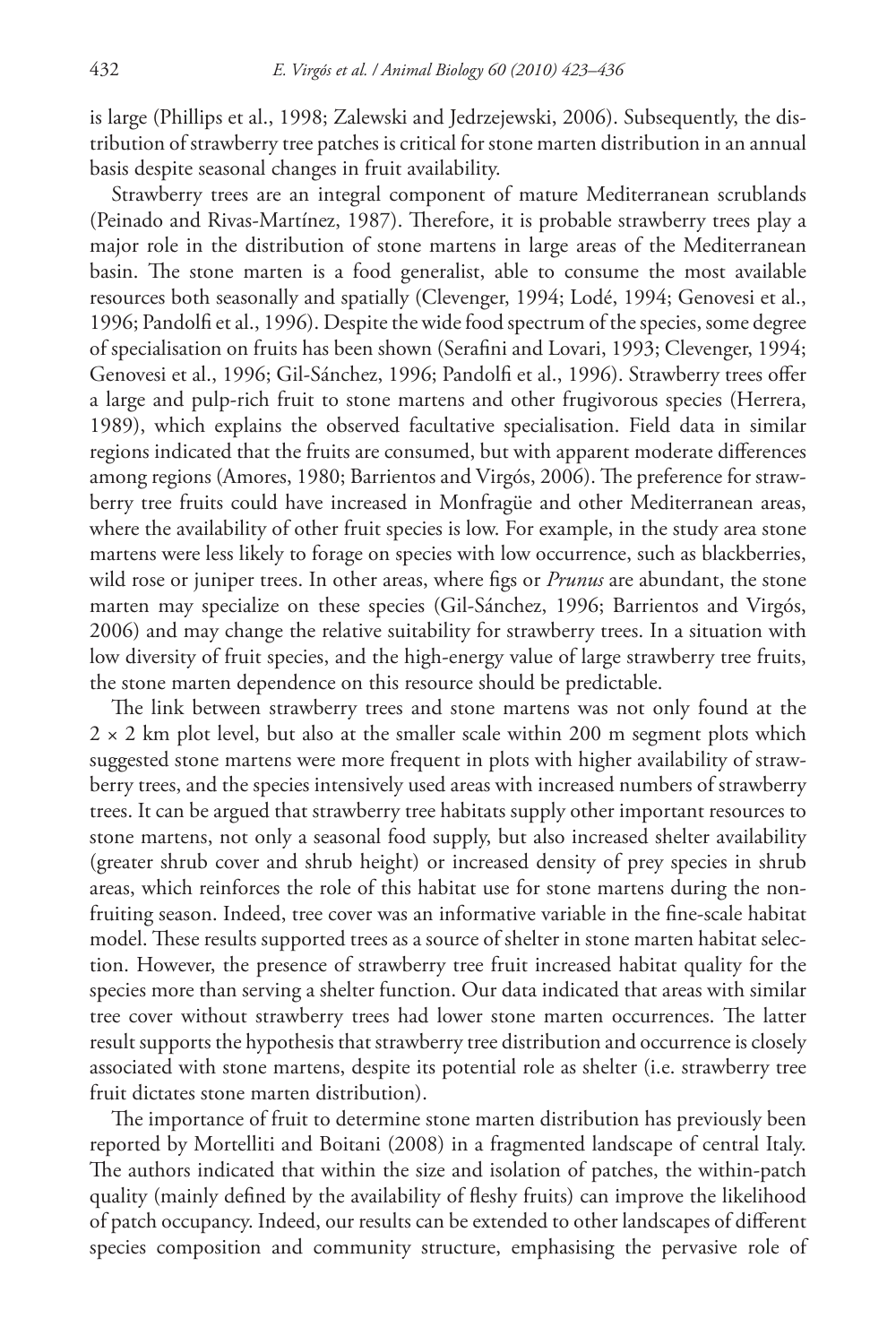is large (Phillips et al., 1998; Zalewski and Jedrzejewski, 2006). Subsequently, the distribution of strawberry tree patches is critical for stone marten distribution in an annual basis despite seasonal changes in fruit availability.

 Strawberry trees are an integral component of mature Mediterranean scrublands (Peinado and Rivas-Martínez, 1987). Therefore, it is probable strawberry trees play a major role in the distribution of stone martens in large areas of the Mediterranean basin. The stone marten is a food generalist, able to consume the most available resources both seasonally and spatially (Clevenger, 1994; Lodé, 1994; Genovesi et al., 1996; Pandolfi et al., 1996). Despite the wide food spectrum of the species, some degree of specialisation on fruits has been shown (Serafini and Lovari, 1993; Clevenger, 1994; Genovesi et al., 1996; Gil-Sánchez, 1996; Pandolfi et al., 1996). Strawberry trees offer a large and pulp-rich fruit to stone martens and other frugivorous species (Herrera, 1989), which explains the observed facultative specialisation. Field data in similar regions indicated that the fruits are consumed, but with apparent moderate differences among regions (Amores, 1980; Barrientos and Virgós, 2006). The preference for strawberry tree fruits could have increased in Monfragüe and other Mediterranean areas, where the availability of other fruit species is low. For example, in the study area stone martens were less likely to forage on species with low occurrence, such as blackberries, wild rose or juniper trees. In other areas, where figs or *Prunus* are abundant, the stone marten may specialize on these species (Gil-Sánchez, 1996; Barrientos and Virgós, 2006) and may change the relative suitability for strawberry trees. In a situation with low diversity of fruit species, and the high-energy value of large strawberry tree fruits, the stone marten dependence on this resource should be predictable.

The link between strawberry trees and stone martens was not only found at the  $2 \times 2$  km plot level, but also at the smaller scale within 200 m segment plots which suggested stone martens were more frequent in plots with higher availability of strawberry trees, and the species intensively used areas with increased numbers of strawberry trees. It can be argued that strawberry tree habitats supply other important resources to stone martens, not only a seasonal food supply, but also increased shelter availability (greater shrub cover and shrub height) or increased density of prey species in shrub areas, which reinforces the role of this habitat use for stone martens during the nonfruiting season. Indeed, tree cover was an informative variable in the fine-scale habitat model. These results supported trees as a source of shelter in stone marten habitat selection. However, the presence of strawberry tree fruit increased habitat quality for the species more than serving a shelter function. Our data indicated that areas with similar tree cover without strawberry trees had lower stone marten occurrences. The latter result supports the hypothesis that strawberry tree distribution and occurrence is closely associated with stone martens, despite its potential role as shelter (i.e. strawberry tree fruit dictates stone marten distribution).

The importance of fruit to determine stone marten distribution has previously been reported by Mortelliti and Boitani (2008) in a fragmented landscape of central Italy. The authors indicated that within the size and isolation of patches, the within-patch quality (mainly defined by the availability of fleshy fruits) can improve the likelihood of patch occupancy. Indeed, our results can be extended to other landscapes of different species composition and community structure, emphasising the pervasive role of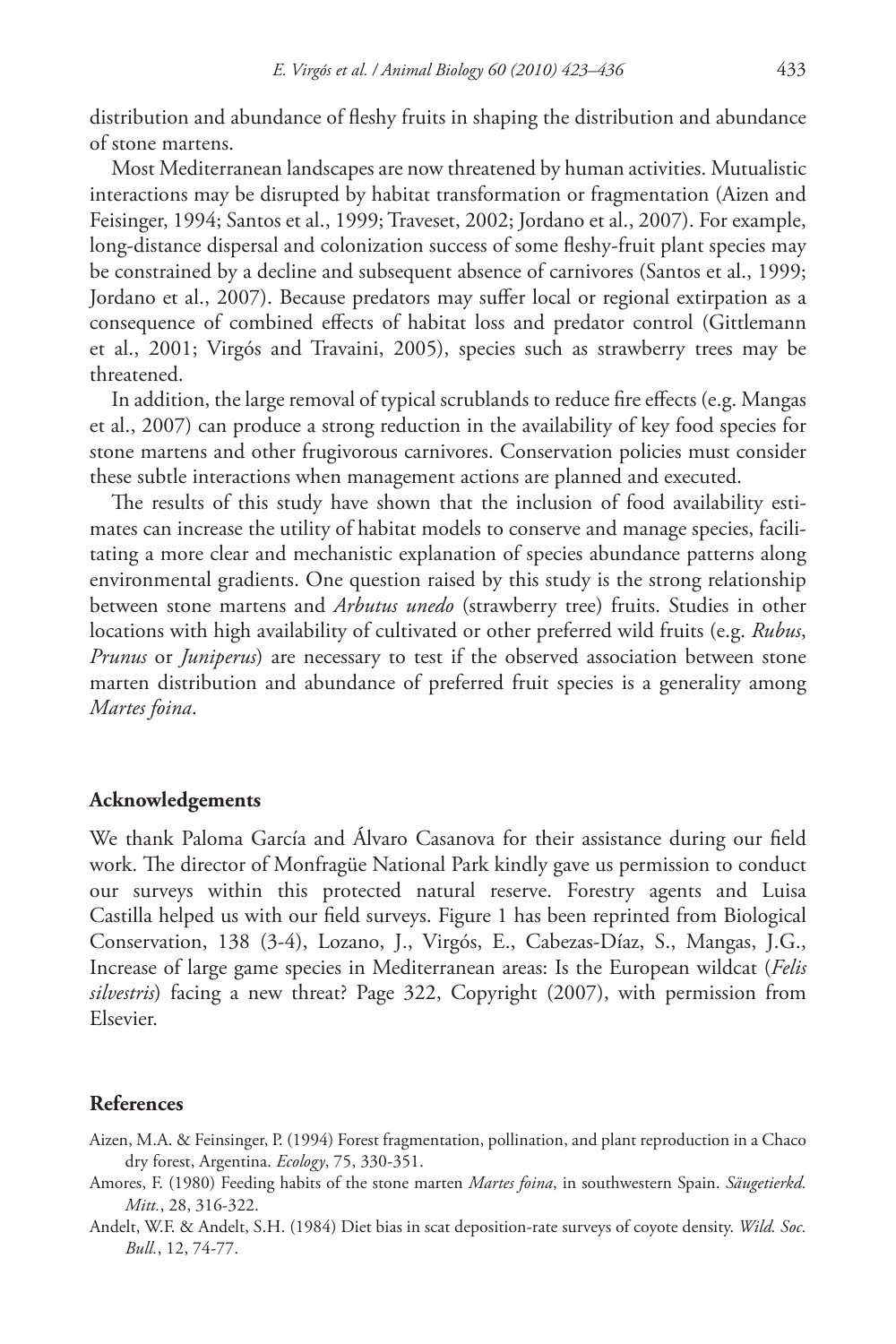distribution and abundance of fleshy fruits in shaping the distribution and abundance of stone martens.

 Most Mediterranean landscapes are now threatened by human activities. Mutualistic interactions may be disrupted by habitat transformation or fragmentation (Aizen and Feisinger, 1994; Santos et al., 1999; Traveset, 2002; Jordano et al., 2007). For example, long-distance dispersal and colonization success of some fleshy-fruit plant species may be constrained by a decline and subsequent absence of carnivores (Santos et al., 1999; Jordano et al., 2007). Because predators may suffer local or regional extirpation as a consequence of combined effects of habitat loss and predator control (Gittlemann et al., 2001; Virgós and Travaini, 2005), species such as strawberry trees may be threatened.

In addition, the large removal of typical scrublands to reduce fire effects (e.g. Mangas et al., 2007) can produce a strong reduction in the availability of key food species for stone martens and other frugivorous carnivores. Conservation policies must consider these subtle interactions when management actions are planned and executed.

The results of this study have shown that the inclusion of food availability estimates can increase the utility of habitat models to conserve and manage species, facilitating a more clear and mechanistic explanation of species abundance patterns along environmental gradients. One question raised by this study is the strong relationship between stone martens and *Arbutus unedo* (strawberry tree) fruits. Studies in other locations with high availability of cultivated or other preferred wild fruits (e.g. *Rubus*, *Prunus* or *Juniperus* ) are necessary to test if the observed association between stone marten distribution and abundance of preferred fruit species is a generality among *Martes foina* .

#### **Acknowledgements**

We thank Paloma García and Álvaro Casanova for their assistance during our field work. The director of Monfragüe National Park kindly gave us permission to conduct our surveys within this protected natural reserve. Forestry agents and Luisa Castilla helped us with our field surveys. Figure 1 has been reprinted from Biological Conservation, 138 (3-4), Lozano, J., Virgós, E., Cabezas-Díaz, S., Mangas, J.G., Increase of large game species in Mediterranean areas: Is the European wildcat ( *Felis silvestris* ) facing a new threat? Page 322, Copyright (2007), with permission from Elsevier.

## **References**

- Aizen, M.A. & Feinsinger, P. (1994) Forest fragmentation, pollination, and plant reproduction in a Chaco dry forest, Argentina. *Ecology*, 75, 330-351.
- Amores , F. ( 1980 ) Feeding habits of the stone marten *Martes foina* , in southwestern Spain . *Säugetierkd. Mitt.*, 28, 316-322.

Andelt, W.F. & Andelt, S.H. (1984) Diet bias in scat deposition-rate surveys of coyote density. Wild. Soc. *Bull.*, 12, 74-77.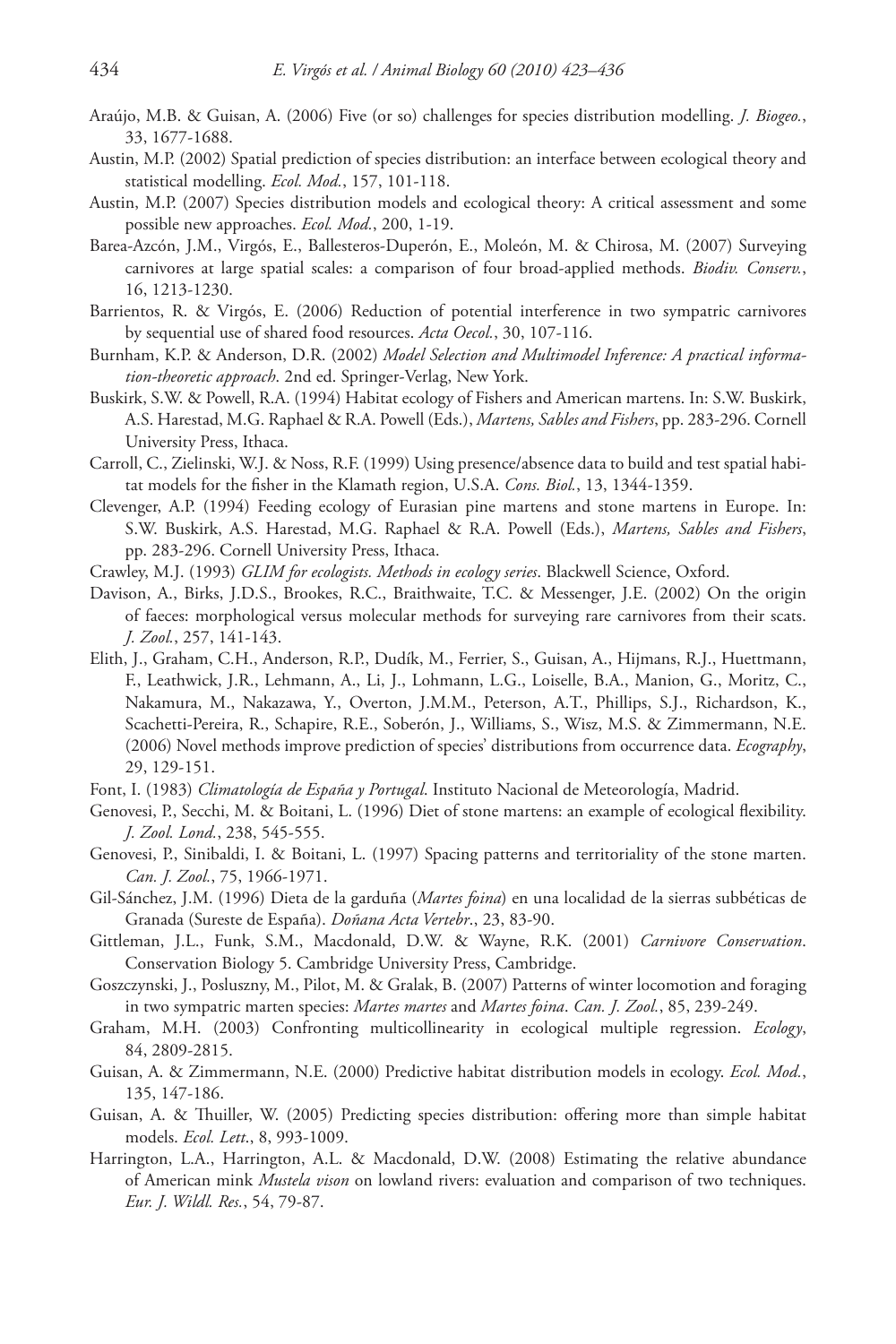- Araújo , M.B. & Guisan , A. ( 2006 ) Five (or so) challenges for species distribution modelling . *J. Biogeo.* , 33 , 1677 - 1688 .
- Austin, M.P. (2002) Spatial prediction of species distribution: an interface between ecological theory and statistical modelling. *Ecol. Mod.*, 157, 101-118.
- Austin, M.P. (2007) Species distribution models and ecological theory: A critical assessment and some possible new approaches. *Ecol. Mod.*, 200, 1-19.
- Barea-Azcón, J.M., Virgós, E., Ballesteros-Duperón, E., Moleón, M. & Chirosa, M. (2007) Surveying carnivores at large spatial scales: a comparison of four broad-applied methods . *Biodiv. Conserv.* , 16, 1213-1230.
- Barrientos, R. & Virgós, E. (2006) Reduction of potential interference in two sympatric carnivores by sequential use of shared food resources. Acta Oecol., 30, 107-116.
- Burnham, K.P. & Anderson, D.R. (2002) Model Selection and Multimodel Inference: A practical information-theoretic approach. 2nd ed. Springer-Verlag, New York.
- Buskirk , S.W. & Powell , R.A. ( 1994 ) Habitat ecology of Fishers and American martens . In: S.W. Buskirk , A.S. Harestad , M.G. Raphael & R.A. Powell (Eds.), *Martens, Sables and Fishers* , pp. 283 - 296 . Cornell University Press, Ithaca.
- Carroll, C., Zielinski, W.J. & Noss, R.F. (1999) Using presence/absence data to build and test spatial habitat models for the fisher in the Klamath region, U.S.A. *Cons. Biol.*, 13, 1344-1359.
- Clevenger, A.P. (1994) Feeding ecology of Eurasian pine martens and stone martens in Europe. In: S.W. Buskirk, A.S. Harestad, M.G. Raphael & R.A. Powell (Eds.), Martens, Sables and Fishers, pp. 283-296. Cornell University Press, Ithaca.
- Crawley, M.J. (1993) *GLIM for ecologists. Methods in ecology series*. Blackwell Science, Oxford.
- Davison, A., Birks, J.D.S., Brookes, R.C., Braithwaite, T.C. & Messenger, J.E. (2002) On the origin of faeces: morphological versus molecular methods for surveying rare carnivores from their scats . *J. Zool.*, 257, 141-143.
- Elith, J., Graham, C.H., Anderson, R.P., Dudík, M., Ferrier, S., Guisan, A., Hijmans, R.J., Huettmann, F., Leathwick, J.R., Lehmann, A., Li, J., Lohmann, L.G., Loiselle, B.A., Manion, G., Moritz, C., Nakamura, M., Nakazawa, Y., Overton, J.M.M., Peterson, A.T., Phillips, S.J., Richardson, K., Scachetti-Pereira, R., Schapire, R.E., Soberón, J., Williams, S., Wisz, M.S. & Zimmermann, N.E. ( 2006 ) Novel methods improve prediction of species' distributions from occurrence data . *Ecography* , 29, 129-151.
- Font, I. (1983) *Climatología de España y Portugal*. Instituto Nacional de Meteorología, Madrid.
- Genovesi, P., Secchi, M. & Boitani, L. (1996) Diet of stone martens: an example of ecological flexibility. *J. Zool. Lond.*, 238, 545-555.
- Genovesi, P., Sinibaldi, I. & Boitani, L. (1997) Spacing patterns and territoriality of the stone marten. Can. *J. Zool.*, 75, 1966-1971.
- Gil-Sánchez , J.M. ( 1996 ) Dieta de la garduña ( *Martes foina* ) en una localidad de la sierras subbéticas de Granada (Sureste de España). *Doñana Acta Vertebr.*, 23, 83-90.
- Gittleman, J.L., Funk, S.M., Macdonald, D.W. & Wayne, R.K. (2001) *Carnivore Conservation*. Conservation Biology 5. Cambridge University Press, Cambridge.
- Goszczynski, J., Posluszny, M., Pilot, M. & Gralak, B. (2007) Patterns of winter locomotion and foraging in two sympatric marten species: *Martes martes* and *Martes foina*. *Can. J. Zool.*, 85, 239-249.
- Graham, M.H. (2003) Confronting multicollinearity in ecological multiple regression. *Ecology*, 84, 2809-2815.
- Guisan, A. & Zimmermann, N.E. (2000) Predictive habitat distribution models in ecology. *Ecol. Mod.*, 135, 147-186.
- Guisan, A. & Thuiller, W. (2005) Predicting species distribution: offering more than simple habitat models. *Ecol. Lett.*, 8, 993-1009.
- Harrington, L.A., Harrington, A.L. & Macdonald, D.W. (2008) Estimating the relative abundance of American mink *Mustela vison* on lowland rivers: evaluation and comparison of two techniques . *Eur. J. Wildl. Res.*, 54, 79-87.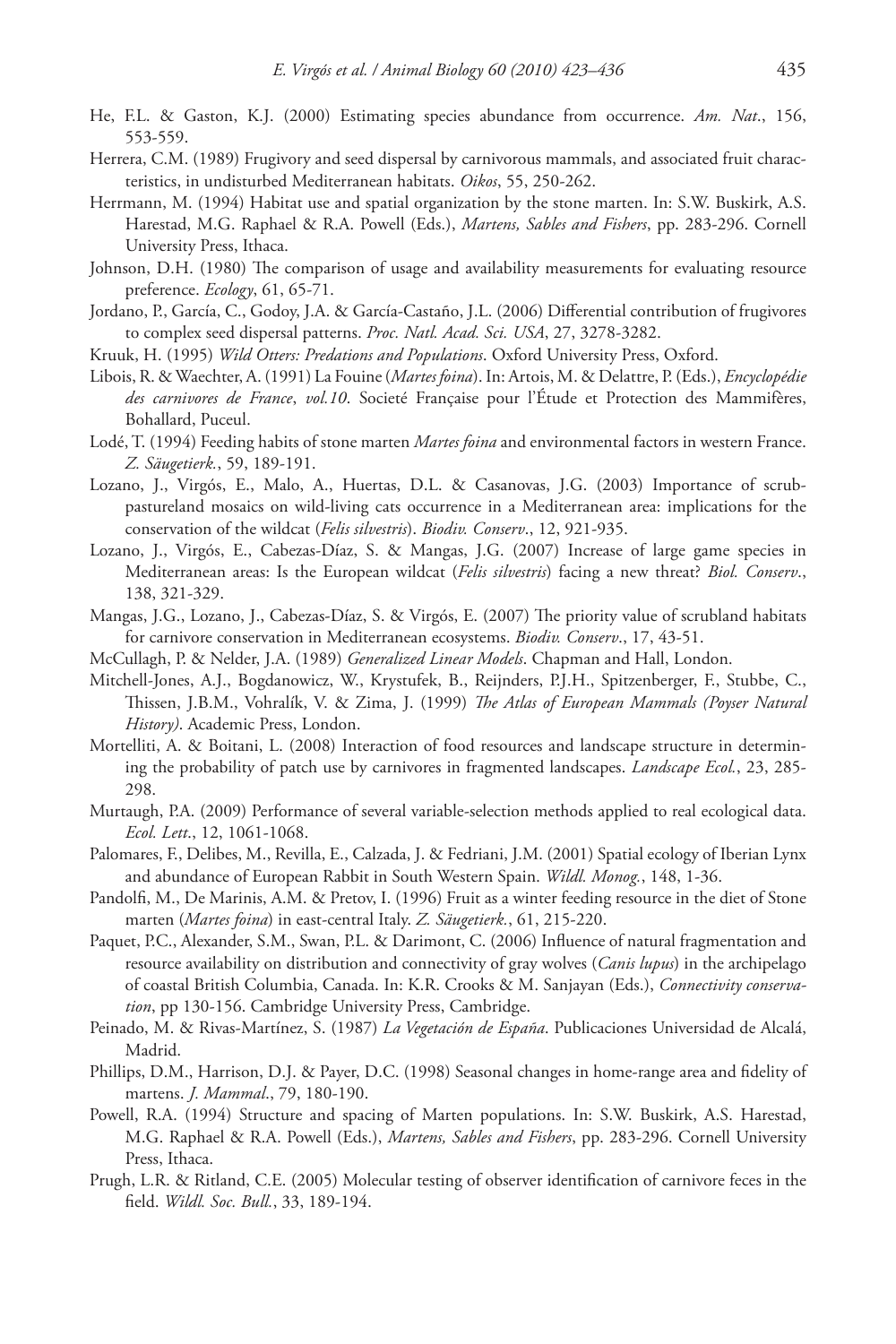- He, F.L. & Gaston, K.J. (2000) Estimating species abundance from occurrence. Am. Nat., 156, 553-559.
- Herrera, C.M. (1989) Frugivory and seed dispersal by carnivorous mammals, and associated fruit characteristics, in undisturbed Mediterranean habitats. Oikos, 55, 250-262.
- Herrmann, M. (1994) Habitat use and spatial organization by the stone marten. In: S.W. Buskirk, A.S. Harestad, M.G. Raphael & R.A. Powell (Eds.), *Martens, Sables and Fishers*, pp. 283-296. Cornell University Press, Ithaca.
- Johnson, D.H. (1980) The comparison of usage and availability measurements for evaluating resource preference. *Ecology*, 61, 65-71.
- Jordano, P., García, C., Godoy, J.A. & García-Castaño, J.L. (2006) Differential contribution of frugivores to complex seed dispersal patterns. *Proc. Natl. Acad. Sci. USA*, 27, 3278-3282.
- Kruuk, H. (1995) *Wild Otters: Predations and Populations*. Oxford University Press, Oxford.
- Libois , R. & Waechter , A. ( 1991 ) La Fouine ( *Martes foina* ) . In: Artois , M. & Delattre , P. (Eds.), *Encyclopédie*  des carnivores de France, vol.10. Societé Française pour l'Étude et Protection des Mammifères, Bohallard, Puceul.
- Lodé, T. (1994) Feeding habits of stone marten *Martes foina* and environmental factors in western France. *Z. Säugetierk.* , 59 , 189 - 191 .
- Lozano, J., Virgós, E., Malo, A., Huertas, D.L. & Casanovas, J.G. (2003) Importance of scrubpastureland mosaics on wild-living cats occurrence in a Mediterranean area: implications for the conservation of the wildcat (*Felis silvestris*). *Biodiv. Conserv.*, 12, 921-935.
- Lozano, J., Virgós, E., Cabezas-Díaz, S. & Mangas, J.G. (2007) Increase of large game species in Mediterranean areas: Is the European wildcat (*Felis silvestris*) facing a new threat? *Biol. Conserv.*, 138, 321-329.
- Mangas, J.G., Lozano, J., Cabezas-Díaz, S. & Virgós, E. (2007) The priority value of scrubland habitats for carnivore conservation in Mediterranean ecosystems. *Biodiv. Conserv.*, 17, 43-51.
- McCullagh, P. & Nelder, J.A. (1989) *Generalized Linear Models*. Chapman and Hall, London.
- Mitchell-Jones, A.J., Bogdanowicz, W., Krystufek, B., Reijnders, P.J.H., Spitzenberger, F., Stubbe, C., Thissen, J.B.M., Vohralík, V. & Zima, J. (1999) *The Atlas of European Mammals (Poyser Natural History*). Academic Press, London.
- Mortelliti, A. & Boitani, L. (2008) Interaction of food resources and landscape structure in determining the probability of patch use by carnivores in fragmented landscapes. *Landscape Ecol.*, 23, 285-298.
- Murtaugh, P.A. (2009) Performance of several variable-selection methods applied to real ecological data. Ecol. Lett., 12, 1061-1068.
- Palomares, F., Delibes, M., Revilla, E., Calzada, J. & Fedriani, J.M. (2001) Spatial ecology of Iberian Lynx and abundance of European Rabbit in South Western Spain. *Wildl. Monog.*, 148, 1-36.
- Pandolfi, M., De Marinis, A.M. & Pretov, I. (1996) Fruit as a winter feeding resource in the diet of Stone marten (Martes foina) in east-central Italy. Z. Säugetierk., 61, 215-220.
- Paquet, P.C., Alexander, S.M., Swan, P.L. & Darimont, C. (2006) Influence of natural fragmentation and resource availability on distribution and connectivity of gray wolves ( *Canis lupus* ) in the archipelago of coastal British Columbia, Canada . In: K.R. Crooks & M. Sanjayan (Eds.), *Connectivity conserva*tion, pp 130-156. Cambridge University Press, Cambridge.
- Peinado, M. & Rivas-Martínez, S. (1987) *La Vegetación de España*. Publicaciones Universidad de Alcalá, Madrid.
- Phillips, D.M., Harrison, D.J. & Payer, D.C. (1998) Seasonal changes in home-range area and fidelity of martens. *J. Mammal.*, 79, 180-190.
- Powell, R.A. (1994) Structure and spacing of Marten populations. In: S.W. Buskirk, A.S. Harestad, M.G. Raphael & R.A. Powell (Eds.), *Martens, Sables and Fishers*, pp. 283-296. Cornell University Press, Ithaca.
- Prugh, L.R. & Ritland, C.E. (2005) Molecular testing of observer identification of carnivore feces in the field. *Wildl. Soc. Bull.*, 33, 189-194.